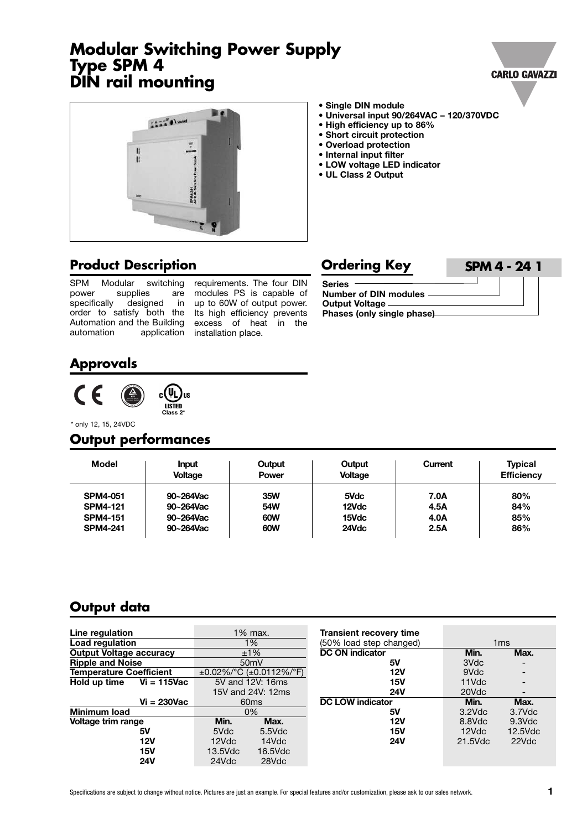#### Specifications are subject to change without notice. Pictures are just an example. For special features and/or customization, please ask to our sales network. **1**

## **Modular Switching Power Supply Type SPM 4 DIN rail mounting**

**• Single DIN module**

- **• Universal input 90/264VAC – 120/370VDC**
- **• High efficiency up to 86%**
- **• Short circuit protection**
- **• Overload protection**
- **• Internal input filter**
- **• LOW voltage LED indicator**
- **• UL Class 2 Output**

#### **Product Description**

SPM Modular switching<br>power supplies are supplies specifically designed in order to satisfy both the Its high efficiency prevents Automation and the Building excess of heat in the automation application installation place.

requirements. The four DIN modules PS is capable of up to 60W of output power.

| <b>Ordering Key</b>                                                                              | <b>SPM 4 - 24 1</b> |
|--------------------------------------------------------------------------------------------------|---------------------|
| <b>Series</b><br><b>Number of DIN modules</b><br>Output Voltage —<br>Phases (only single phase)- |                     |

### **Approvals**



\* only 12, 15, 24VDC

# **Output performances**

| <b>Model</b>    | <b>Input</b><br><b>Voltage</b> | Output<br><b>Power</b> | Output<br><b>Voltage</b> | Current | <b>Typical</b><br><b>Efficiency</b> |
|-----------------|--------------------------------|------------------------|--------------------------|---------|-------------------------------------|
| <b>SPM4-051</b> | 90~264Vac                      | 35W                    | 5Vdc                     | 7.0A    | 80%                                 |
| <b>SPM4-121</b> | 90~264Vac                      | 54W                    | 12Vdc                    | 4.5A    | 84%                                 |
| <b>SPM4-151</b> | 90~264Vac                      | 60W                    | 15Vdc                    | 4.0A    | 85%                                 |
| <b>SPM4-241</b> | 90~264Vac                      | 60W                    | 24Vdc                    | 2.5A    | 86%                                 |

## **Output data**

| Line regulation                |         | 1% max.                 | <b>Transient recovery time</b> |                 |            |
|--------------------------------|---------|-------------------------|--------------------------------|-----------------|------------|
| Load regulation<br>1%          |         | (50% load step changed) |                                | 1 <sub>ms</sub> |            |
| <b>Output Voltage accuracy</b> | ±1%     |                         | <b>DC ON indicator</b>         | Min.            | Max.       |
| <b>Ripple and Noise</b>        |         | 50 <sub>m</sub> V       | 5٧                             | 3Vdc            |            |
| <b>Temperature Coefficient</b> |         | ±0.02%/°C (±0.0112%/°F) | 12V                            | 9Vdc            |            |
| Hold up time<br>$Vi = 115$ Vac |         | 5V and 12V: 16ms        | <b>15V</b>                     | 11Vdc           |            |
|                                |         | 15V and 24V: 12ms       | <b>24V</b>                     | 20Vdc           |            |
| $Vi = 230Vac$                  |         | 60 <sub>ms</sub>        | <b>DC LOW indicator</b>        | Min.            | Max.       |
| Minimum load                   |         | 0%                      | 5٧                             | $3.2$ Vdc       | $3.7$ Vdc  |
| Voltage trim range             | Min.    | Max.                    | 12V                            | 8.8Vdc          | $9.3$ Vdc  |
| 5۷                             | 5Vdc    | $5.5$ Vdc               | 15V                            | 12Vdc           | $12.5$ Vdc |
| 12V                            | 12Vdc   | 14Vdc                   | <b>24V</b>                     | 21.5Vdc         | 22Vdc      |
| 15V                            | 13.5Vdc | 16.5Vdc                 |                                |                 |            |
| <b>24V</b>                     | 24Vdc   | 28Vdc                   |                                |                 |            |



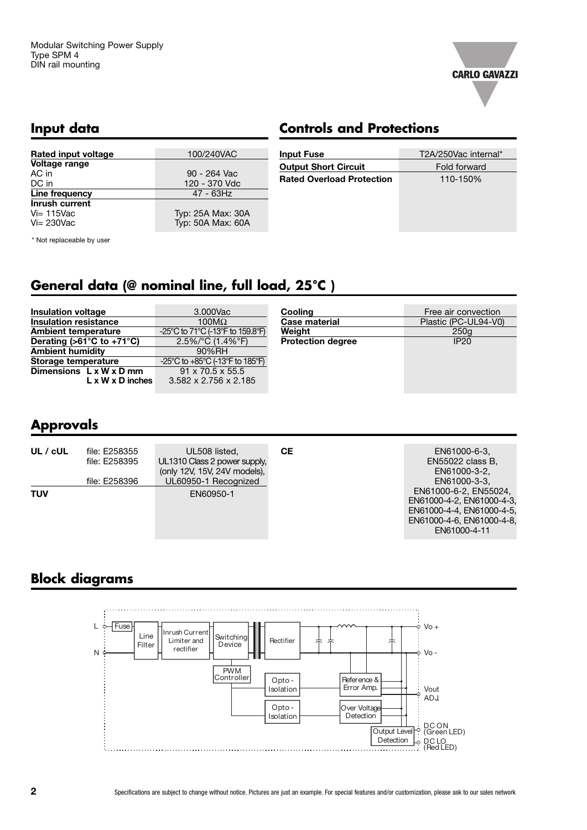

### **Input data**

# **Controls and Protections**

| Rated input voltage   | 100/240VAC        |
|-----------------------|-------------------|
| Voltage range         |                   |
| AC in                 | 90 - 264 Vac      |
| DC in                 | 120 - 370 Vdc     |
| Line frequency        | 47 - 63Hz         |
| <b>Inrush current</b> |                   |
| $Vi = 115$ Vac        | Typ: 25A Max: 30A |
| $Vi = 230$ Vac        | Typ: 50A Max: 60A |

| <b>Input Fuse</b>                | T2A/250Vac internal* |
|----------------------------------|----------------------|
| <b>Output Short Circuit</b>      | Fold forward         |
| <b>Rated Overload Protection</b> | 110-150%             |
|                                  |                      |
|                                  |                      |
|                                  |                      |

\* Not replaceable by user

# **General data (@ nominal line, full load, 25°C )**

| <b>Insulation voltage</b>                       | 3.000Vac                              | Cooling                  | Free air convection  |  |
|-------------------------------------------------|---------------------------------------|--------------------------|----------------------|--|
| <b>Insulation resistance</b>                    | <b>Case material</b><br>100 $M\Omega$ |                          | Plastic (PC-UL94-V0) |  |
| <b>Ambient temperature</b>                      | -25°C to 71°C (-13°F to 159.8°F)      | Weiaht                   | 250q                 |  |
| Derating ( $>61^{\circ}$ C to +71 $^{\circ}$ C) | $2.5\%$ /°C (1.4%°F)                  | <b>Protection degree</b> | <b>IP20</b>          |  |
| <b>Ambient humidity</b>                         | 90%RH                                 |                          |                      |  |
| Storage temperature                             | -25°C to +85°C (-13°F to 185°F)       |                          |                      |  |
| Dimensions $L \times W \times D$ mm             | $91 \times 70.5 \times 55.5$          |                          |                      |  |
| $L \times W \times D$ inches                    | $3.582 \times 2.756 \times 2.185$     |                          |                      |  |

## **Approvals**

| UL / cUL   | file: E258355<br>file: E258395 | UL508 listed,<br>UL1310 Class 2 power supply,        | CЕ | EN61000-6-3.<br>EN55022 class B.                                                                    |
|------------|--------------------------------|------------------------------------------------------|----|-----------------------------------------------------------------------------------------------------|
|            | file: E258396                  | (only 12V, 15V, 24V models),<br>UL60950-1 Recognized |    | EN61000-3-2.<br>EN61000-3-3.<br>EN61000-6-2, EN55024,                                               |
| <b>TUV</b> |                                | EN60950-1                                            |    | EN61000-4-2, EN61000-4-3,<br>EN61000-4-4, EN61000-4-5.<br>EN61000-4-6. EN61000-4-8.<br>EN61000-4-11 |

# **Block diagrams**